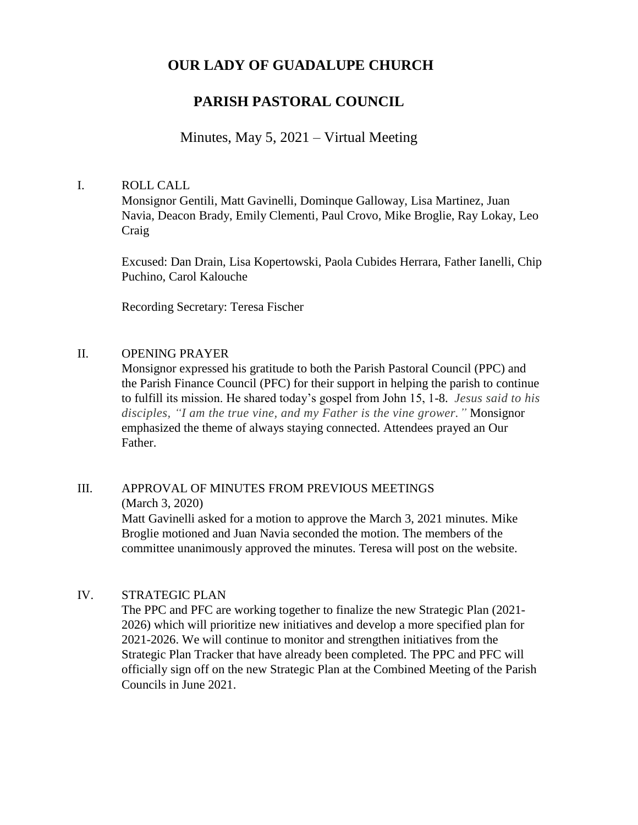## **OUR LADY OF GUADALUPE CHURCH**

# **PARISH PASTORAL COUNCIL**

## Minutes, May 5, 2021 – Virtual Meeting

#### I. ROLL CALL

Monsignor Gentili, Matt Gavinelli, Dominque Galloway, Lisa Martinez, Juan Navia, Deacon Brady, Emily Clementi, Paul Crovo, Mike Broglie, Ray Lokay, Leo Craig

Excused: Dan Drain, Lisa Kopertowski, Paola Cubides Herrara, Father Ianelli, Chip Puchino, Carol Kalouche

Recording Secretary: Teresa Fischer

#### II. OPENING PRAYER

Monsignor expressed his gratitude to both the Parish Pastoral Council (PPC) and the Parish Finance Council (PFC) for their support in helping the parish to continue to fulfill its mission. He shared today's gospel from John 15, 1-8. *Jesus said to his disciples, "I am the true vine, and my Father is the vine grower."* Monsignor emphasized the theme of always staying connected. Attendees prayed an Our Father.

## III. APPROVAL OF MINUTES FROM PREVIOUS MEETINGS (March 3, 2020)

Matt Gavinelli asked for a motion to approve the March 3, 2021 minutes. Mike Broglie motioned and Juan Navia seconded the motion. The members of the committee unanimously approved the minutes. Teresa will post on the website.

## IV. STRATEGIC PLAN

The PPC and PFC are working together to finalize the new Strategic Plan (2021- 2026) which will prioritize new initiatives and develop a more specified plan for 2021-2026. We will continue to monitor and strengthen initiatives from the Strategic Plan Tracker that have already been completed. The PPC and PFC will officially sign off on the new Strategic Plan at the Combined Meeting of the Parish Councils in June 2021.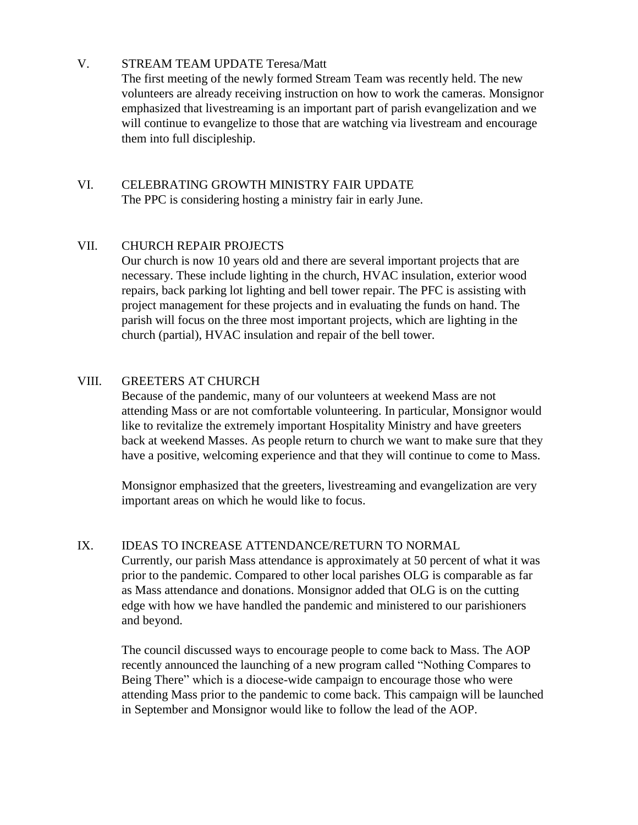## V. STREAM TEAM UPDATE Teresa/Matt

The first meeting of the newly formed Stream Team was recently held. The new volunteers are already receiving instruction on how to work the cameras. Monsignor emphasized that livestreaming is an important part of parish evangelization and we will continue to evangelize to those that are watching via livestream and encourage them into full discipleship.

## VI. CELEBRATING GROWTH MINISTRY FAIR UPDATE The PPC is considering hosting a ministry fair in early June.

## VII. CHURCH REPAIR PROJECTS

Our church is now 10 years old and there are several important projects that are necessary. These include lighting in the church, HVAC insulation, exterior wood repairs, back parking lot lighting and bell tower repair. The PFC is assisting with project management for these projects and in evaluating the funds on hand. The parish will focus on the three most important projects, which are lighting in the church (partial), HVAC insulation and repair of the bell tower.

## VIII. GREETERS AT CHURCH

Because of the pandemic, many of our volunteers at weekend Mass are not attending Mass or are not comfortable volunteering. In particular, Monsignor would like to revitalize the extremely important Hospitality Ministry and have greeters back at weekend Masses. As people return to church we want to make sure that they have a positive, welcoming experience and that they will continue to come to Mass.

Monsignor emphasized that the greeters, livestreaming and evangelization are very important areas on which he would like to focus.

## IX. IDEAS TO INCREASE ATTENDANCE/RETURN TO NORMAL

Currently, our parish Mass attendance is approximately at 50 percent of what it was prior to the pandemic. Compared to other local parishes OLG is comparable as far as Mass attendance and donations. Monsignor added that OLG is on the cutting edge with how we have handled the pandemic and ministered to our parishioners and beyond.

The council discussed ways to encourage people to come back to Mass. The AOP recently announced the launching of a new program called "Nothing Compares to Being There" which is a diocese-wide campaign to encourage those who were attending Mass prior to the pandemic to come back. This campaign will be launched in September and Monsignor would like to follow the lead of the AOP.